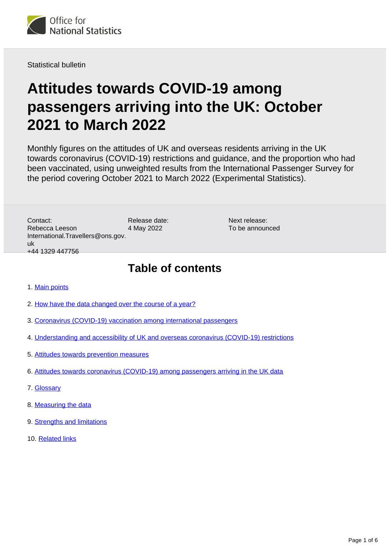

Statistical bulletin

# **Attitudes towards COVID-19 among passengers arriving into the UK: October 2021 to March 2022**

Monthly figures on the attitudes of UK and overseas residents arriving in the UK towards coronavirus (COVID-19) restrictions and guidance, and the proportion who had been vaccinated, using unweighted results from the International Passenger Survey for the period covering October 2021 to March 2022 (Experimental Statistics).

Release date: 4 May 2022 Contact: Rebecca Leeson International.Travellers@ons.gov. uk +44 1329 447756

Next release: To be announced

### **Table of contents**

- 1. [Main points](#page-1-0)
- 2. [How have the data changed over the course of a year?](#page-1-1)
- 3. [Coronavirus \(COVID-19\) vaccination among international passengers](#page-2-0)
- 4. [Understanding and accessibility of UK and overseas coronavirus \(COVID-19\) restrictions](#page-2-1)
- 5. [Attitudes towards prevention measures](#page-3-0)
- 6. [Attitudes towards coronavirus \(COVID-19\) among passengers arriving in the UK data](#page-3-1)
- 7. [Glossary](#page-3-2)
- 8. [Measuring the data](#page-4-0)
- 9. [Strengths and limitations](#page-4-1)
- 10. [Related links](#page-5-0)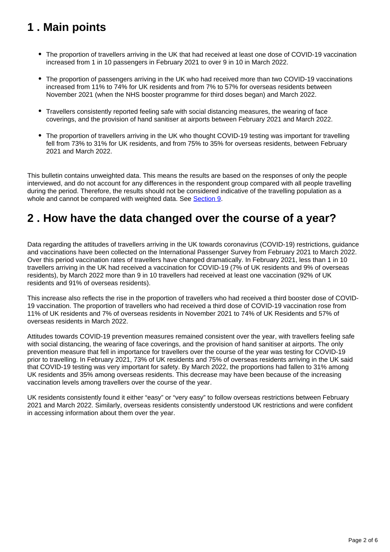## <span id="page-1-0"></span>**1 . Main points**

- The proportion of travellers arriving in the UK that had received at least one dose of COVID-19 vaccination increased from 1 in 10 passengers in February 2021 to over 9 in 10 in March 2022.
- The proportion of passengers arriving in the UK who had received more than two COVID-19 vaccinations increased from 11% to 74% for UK residents and from 7% to 57% for overseas residents between November 2021 (when the NHS booster programme for third doses began) and March 2022.
- Travellers consistently reported feeling safe with social distancing measures, the wearing of face coverings, and the provision of hand sanitiser at airports between February 2021 and March 2022.
- The proportion of travellers arriving in the UK who thought COVID-19 testing was important for travelling fell from 73% to 31% for UK residents, and from 75% to 35% for overseas residents, between February 2021 and March 2022.

This bulletin contains unweighted data. This means the results are based on the responses of only the people interviewed, and do not account for any differences in the respondent group compared with all people travelling during the period. Therefore, the results should not be considered indicative of the travelling population as a whole and cannot be compared with weighted data. See [Section 9](https://www.ons.gov.uk/peoplepopulationandcommunity/leisureandtourism/bulletins/attitudestowardscovid19amongpassengersarrivingintotheukfebruary2021tojune2021/october2021tomarch2022#strengths-and-limitations).

## <span id="page-1-1"></span>**2 . How have the data changed over the course of a year?**

Data regarding the attitudes of travellers arriving in the UK towards coronavirus (COVID-19) restrictions, guidance and vaccinations have been collected on the International Passenger Survey from February 2021 to March 2022. Over this period vaccination rates of travellers have changed dramatically. In February 2021, less than 1 in 10 travellers arriving in the UK had received a vaccination for COVID-19 (7% of UK residents and 9% of overseas residents), by March 2022 more than 9 in 10 travellers had received at least one vaccination (92% of UK residents and 91% of overseas residents).

This increase also reflects the rise in the proportion of travellers who had received a third booster dose of COVID-19 vaccination. The proportion of travellers who had received a third dose of COVID-19 vaccination rose from 11% of UK residents and 7% of overseas residents in November 2021 to 74% of UK Residents and 57% of overseas residents in March 2022.

Attitudes towards COVID-19 prevention measures remained consistent over the year, with travellers feeling safe with social distancing, the wearing of face coverings, and the provision of hand sanitiser at airports. The only prevention measure that fell in importance for travellers over the course of the year was testing for COVID-19 prior to travelling. In February 2021, 73% of UK residents and 75% of overseas residents arriving in the UK said that COVID-19 testing was very important for safety. By March 2022, the proportions had fallen to 31% among UK residents and 35% among overseas residents. This decrease may have been because of the increasing vaccination levels among travellers over the course of the year.

UK residents consistently found it either "easy" or "very easy" to follow overseas restrictions between February 2021 and March 2022. Similarly, overseas residents consistently understood UK restrictions and were confident in accessing information about them over the year.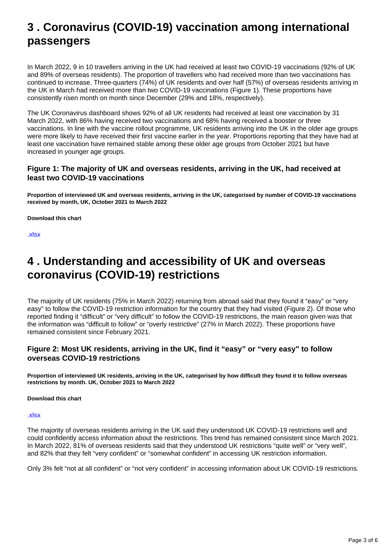## <span id="page-2-0"></span>**3 . Coronavirus (COVID-19) vaccination among international passengers**

In March 2022, 9 in 10 travellers arriving in the UK had received at least two COVID-19 vaccinations (92% of UK and 89% of overseas residents). The proportion of travellers who had received more than two vaccinations has continued to increase. Three-quarters (74%) of UK residents and over half (57%) of overseas residents arriving in the UK in March had received more than two COVID-19 vaccinations (Figure 1). These proportions have consistently risen month on month since December (29% and 18%, respectively).

The UK Coronavirus dashboard shows 92% of all UK residents had received at least one vaccination by 31 March 2022, with 86% having received two vaccinations and 68% having received a booster or three vaccinations. In line with the vaccine rollout programme, UK residents arriving into the UK in the older age groups were more likely to have received their first vaccine earlier in the year. Proportions reporting that they have had at least one vaccination have remained stable among these older age groups from October 2021 but have increased in younger age groups.

#### **Figure 1: The majority of UK and overseas residents, arriving in the UK, had received at least two COVID-19 vaccinations**

**Proportion of interviewed UK and overseas residents, arriving in the UK, categorised by number of COVID-19 vaccinations received by month, UK, October 2021 to March 2022**

**Download this chart**

[.xlsx](/visualisations/dvc1942/fig1_vaxarriving/datadownload.xlsx)

### <span id="page-2-1"></span>**4 . Understanding and accessibility of UK and overseas coronavirus (COVID-19) restrictions**

The majority of UK residents (75% in March 2022) returning from abroad said that they found it "easy" or "very easy" to follow the COVID-19 restriction information for the country that they had visited (Figure 2). Of those who reported finding it "difficult" or "very difficult" to follow the COVID-19 restrictions, the main reason given was that the information was "difficult to follow" or "overly restrictive" (27% in March 2022). These proportions have remained consistent since February 2021.

#### **Figure 2: Most UK residents, arriving in the UK, find it "easy" or "very easy" to follow overseas COVID-19 restrictions**

**Proportion of interviewed UK residents, arriving in the UK, categorised by how difficult they found it to follow overseas restrictions by month. UK, October 2021 to March 2022**

**Download this chart**

[.xlsx](/visualisations/dvc1942/fig2_ukdifficulties/datadownload.xlsx)

The majority of overseas residents arriving in the UK said they understood UK COVID-19 restrictions well and could confidently access information about the restrictions. This trend has remained consistent since March 2021. In March 2022, 81% of overseas residents said that they understood UK restrictions "quite well" or "very well", and 82% that they felt "very confident" or "somewhat confident" in accessing UK restriction information.

Only 3% felt "not at all confident" or "not very confident" in accessing information about UK COVID-19 restrictions.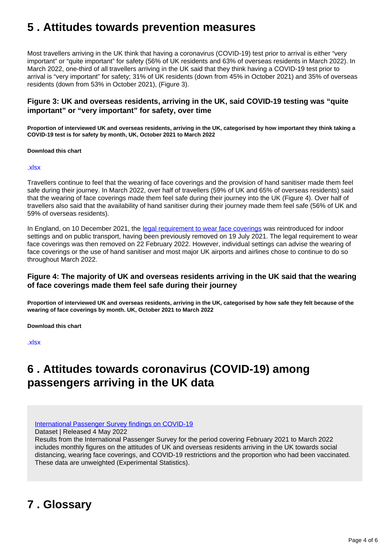## <span id="page-3-0"></span>**5 . Attitudes towards prevention measures**

Most travellers arriving in the UK think that having a coronavirus (COVID-19) test prior to arrival is either "very important" or "quite important" for safety (56% of UK residents and 63% of overseas residents in March 2022). In March 2022, one-third of all travellers arriving in the UK said that they think having a COVID-19 test prior to arrival is "very important" for safety; 31% of UK residents (down from 45% in October 2021) and 35% of overseas residents (down from 53% in October 2021), (Figure 3).

#### **Figure 3: UK and overseas residents, arriving in the UK, said COVID-19 testing was "quite important" or "very important" for safety, over time**

**Proportion of interviewed UK and overseas residents, arriving in the UK, categorised by how important they think taking a COVID-19 test is for safety by month, UK, October 2021 to March 2022**

#### **Download this chart**

#### [.xlsx](/visualisations/dvc1942/fig3_testing/datadownload.xlsx)

Travellers continue to feel that the wearing of face coverings and the provision of hand sanitiser made them feel safe during their journey. In March 2022, over half of travellers (59% of UK and 65% of overseas residents) said that the wearing of face coverings made them feel safe during their journey into the UK (Figure 4). Over half of travellers also said that the availability of hand sanitiser during their journey made them feel safe (56% of UK and 59% of overseas residents).

In England, on 10 December 2021, the [legal requirement to wear face coverings](https://www.gov.uk/government/publications/face-coverings-when-to-wear-one-and-how-to-make-your-own/face-coverings-when-to-wear-one-and-how-to-make-your-own#:~:text=You%20are%20no%20longer%20legally,exemption%20if%20you%20need%20one.&text=For%20example%2C%20in%20circumstances%20where,enclosed%20spaces%20like%20public%20transport.) was reintroduced for indoor settings and on public transport, having been previously removed on 19 July 2021. The legal requirement to wear face coverings was then removed on 22 February 2022. However, individual settings can advise the wearing of face coverings or the use of hand sanitiser and most major UK airports and airlines chose to continue to do so throughout March 2022.

#### **Figure 4: The majority of UK and overseas residents arriving in the UK said that the wearing of face coverings made them feel safe during their journey**

**Proportion of interviewed UK and overseas residents, arriving in the UK, categorised by how safe they felt because of the wearing of face coverings by month. UK, October 2021 to March 2022**

**Download this chart**

[.xlsx](/visualisations/dvc1942/fig4_maskatt/datadownload.xlsx)

### <span id="page-3-1"></span>**6 . Attitudes towards coronavirus (COVID-19) among passengers arriving in the UK data**

[International Passenger Survey findings on COVID-19](https://www.ons.gov.uk/peoplepopulationandcommunity/leisureandtourism/datasets/attitudestowardscovid19amongpassengersarrivingintotheuk)

Dataset | Released 4 May 2022

Results from the International Passenger Survey for the period covering February 2021 to March 2022 includes monthly figures on the attitudes of UK and overseas residents arriving in the UK towards social distancing, wearing face coverings, and COVID-19 restrictions and the proportion who had been vaccinated. These data are unweighted (Experimental Statistics).

## <span id="page-3-2"></span>**7 . Glossary**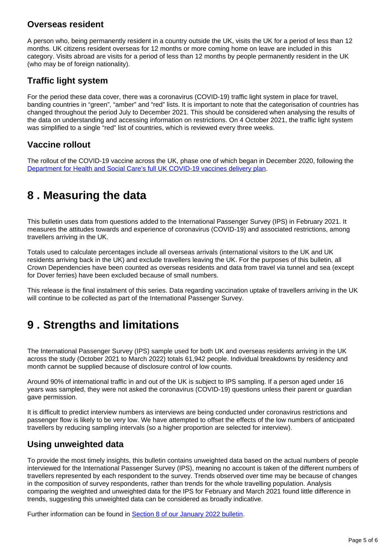### **Overseas resident**

A person who, being permanently resident in a country outside the UK, visits the UK for a period of less than 12 months. UK citizens resident overseas for 12 months or more coming home on leave are included in this category. Visits abroad are visits for a period of less than 12 months by people permanently resident in the UK (who may be of foreign nationality).

### **Traffic light system**

For the period these data cover, there was a coronavirus (COVID-19) traffic light system in place for travel, banding countries in "green", "amber" and "red" lists. It is important to note that the categorisation of countries has changed throughout the period July to December 2021. This should be considered when analysing the results of the data on understanding and accessing information on restrictions. On 4 October 2021, the traffic light system was simplified to a single "red" list of countries, which is reviewed every three weeks.

### **Vaccine rollout**

The rollout of the COVID-19 vaccine across the UK, phase one of which began in December 2020, following the [Department for Health and Social Care's full UK COVID-19 vaccines delivery plan](https://www.gov.uk/government/publications/uk-covid-19-vaccines-delivery-plan/uk-covid-19-vaccines-delivery-plan#prioritisation-1).

## <span id="page-4-0"></span>**8 . Measuring the data**

This bulletin uses data from questions added to the International Passenger Survey (IPS) in February 2021. It measures the attitudes towards and experience of coronavirus (COVID-19) and associated restrictions, among travellers arriving in the UK.

Totals used to calculate percentages include all overseas arrivals (international visitors to the UK and UK residents arriving back in the UK) and exclude travellers leaving the UK. For the purposes of this bulletin, all Crown Dependencies have been counted as overseas residents and data from travel via tunnel and sea (except for Dover ferries) have been excluded because of small numbers.

This release is the final instalment of this series. Data regarding vaccination uptake of travellers arriving in the UK will continue to be collected as part of the International Passenger Survey.

## <span id="page-4-1"></span>**9 . Strengths and limitations**

The International Passenger Survey (IPS) sample used for both UK and overseas residents arriving in the UK across the study (October 2021 to March 2022) totals 61,942 people. Individual breakdowns by residency and month cannot be supplied because of disclosure control of low counts.

Around 90% of international traffic in and out of the UK is subject to IPS sampling. If a person aged under 16 years was sampled, they were not asked the coronavirus (COVID-19) questions unless their parent or guardian gave permission.

It is difficult to predict interview numbers as interviews are being conducted under coronavirus restrictions and passenger flow is likely to be very low. We have attempted to offset the effects of the low numbers of anticipated travellers by reducing sampling intervals (so a higher proportion are selected for interview).

### **Using unweighted data**

To provide the most timely insights, this bulletin contains unweighted data based on the actual numbers of people interviewed for the International Passenger Survey (IPS), meaning no account is taken of the different numbers of travellers represented by each respondent to the survey. Trends observed over time may be because of changes in the composition of survey respondents, rather than trends for the whole travelling population. Analysis comparing the weighted and unweighted data for the IPS for February and March 2021 found little difference in trends, suggesting this unweighted data can be considered as broadly indicative.

Further information can be found in **[Section 8 of our January 2022 bulletin](https://www.ons.gov.uk/peoplepopulationandcommunity/leisureandtourism/bulletins/attitudestowardscovid19amongpassengersarrivingintotheukfebruary2021tojune2021/june2021tonovember2021#measuring-the-data).**